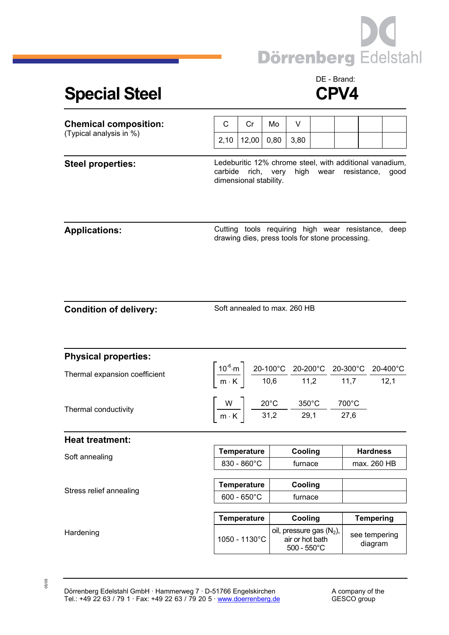

## Special Steel **CPV4**

## DE - Brand:

| <b>Chemical composition:</b><br>(Typical analysis in %) | C                                                                                                                                           | Cr                                                                                                                                                                                                              | Mo                                                                                                                   | V                                                                                |  |  |                                |  |
|---------------------------------------------------------|---------------------------------------------------------------------------------------------------------------------------------------------|-----------------------------------------------------------------------------------------------------------------------------------------------------------------------------------------------------------------|----------------------------------------------------------------------------------------------------------------------|----------------------------------------------------------------------------------|--|--|--------------------------------|--|
|                                                         | 2,10                                                                                                                                        | 12,00                                                                                                                                                                                                           | 0,80                                                                                                                 | 3,80                                                                             |  |  |                                |  |
| <b>Steel properties:</b>                                | Ledeburitic 12% chrome steel, with additional vanadium,<br>high wear resistance,<br>carbide<br>rich, very<br>good<br>dimensional stability. |                                                                                                                                                                                                                 |                                                                                                                      |                                                                                  |  |  |                                |  |
| <b>Applications:</b>                                    | Cutting tools requiring high wear resistance, deep<br>drawing dies, press tools for stone processing.                                       |                                                                                                                                                                                                                 |                                                                                                                      |                                                                                  |  |  |                                |  |
| <b>Condition of delivery:</b>                           | Soft annealed to max. 260 HB                                                                                                                |                                                                                                                                                                                                                 |                                                                                                                      |                                                                                  |  |  |                                |  |
| <b>Physical properties:</b>                             |                                                                                                                                             |                                                                                                                                                                                                                 |                                                                                                                      |                                                                                  |  |  |                                |  |
| Thermal expansion coefficient                           |                                                                                                                                             | $\left[\frac{10^{-6}\text{ m}}{\text{m} \cdot \text{K}}\right] \frac{\text{20-100°C}}{\text{10,6}} \frac{\text{20-200°C}}{\text{11,2}} \frac{\text{20-300°C}}{\text{11,7}} \frac{\text{20-400°C}}{\text{12,1}}$ |                                                                                                                      |                                                                                  |  |  |                                |  |
| Thermal conductivity                                    |                                                                                                                                             |                                                                                                                                                                                                                 | $\left[\frac{W}{m\cdot K}\right]$ $\frac{20^{\circ}C}{31,2}$ $\frac{350^{\circ}C}{29,1}$ $\frac{700^{\circ}C}{27,6}$ |                                                                                  |  |  |                                |  |
| <b>Heat treatment:</b>                                  |                                                                                                                                             |                                                                                                                                                                                                                 |                                                                                                                      |                                                                                  |  |  |                                |  |
| Soft annealing                                          |                                                                                                                                             | <b>Temperature</b><br>830 - 860°C                                                                                                                                                                               |                                                                                                                      | Cooling<br>furnace                                                               |  |  | <b>Hardness</b><br>max. 260 HB |  |
| Stress relief annealing                                 |                                                                                                                                             |                                                                                                                                                                                                                 |                                                                                                                      |                                                                                  |  |  |                                |  |
|                                                         | <b>Temperature</b><br>$600 - 650^{\circ}$ C                                                                                                 |                                                                                                                                                                                                                 |                                                                                                                      | Cooling<br>furnace                                                               |  |  |                                |  |
|                                                         | <b>Temperature</b>                                                                                                                          |                                                                                                                                                                                                                 |                                                                                                                      | Cooling                                                                          |  |  | <b>Tempering</b>               |  |
| Hardening                                               | 1050 - 1130°C                                                                                                                               |                                                                                                                                                                                                                 |                                                                                                                      | oil, pressure gas (N <sub>2</sub> ),<br>air or hot bath<br>$500 - 550^{\circ}$ C |  |  | see tempering<br>diagram       |  |